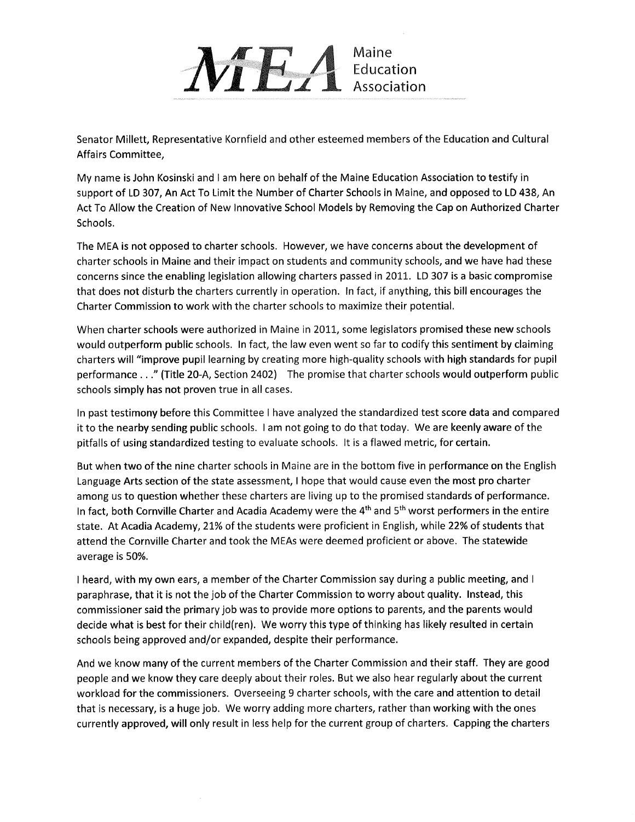

Senator Millett, Representative Kornfield and other esteemed members of the Education and Cultural Affairs Committee,

My name is John Kosinski and lam here on behalf of the Maine Education Association to testify in support of LD 307, An Act To Limit the Number of Charter Schools in Maine, and opposed to LD 438, An Act To Allow the Creation of New innovative School Models by Removing the Cap on Authorized Charter Schools.

The MEA is not opposed to charter schools. However, we have concerns about the development of charter schools in Maine and their impact on students and community schools, and we have had these concerns since the enabling legislation allowing charters passed in 2011. LD 307 is a basic compromise that does not disturb the charters currently in operation. ln fact, if anything, this bill encourages the Charter Commission to work with the charter schools to maximize their potential.

When charter schools were authorized in Maine in 2011, some legislators promised these new schools would outperform public schools. In fact, the law even went so far to codify this sentiment by claiming charters will "improve pupil learning by creating more high-quality schools with high standards for pupil performance . . ." (Title 20-A, Section 2402) – The promise that charter schools would outperform public schools simply has not proven true in all cases.

ln past testimony before this Committee l have analyzed the standardized test score data and compared it to the nearby sending public schools. lam not going to do that today. We are keenly aware of the pitfalls of using standardized testing to evaluate schools. lt is a flawed metric, for certain.

But when two of the nine charter schools in Maine are in the bottom five in performance on the English Language Arts section of the state assessment, I hope that would cause even the most pro charter among us to question whether these charters are living up to the promised standards of performance. In fact, both Cornville Charter and Acadia Academy were the 4<sup>th</sup> and 5<sup>th</sup> worst performers in the entire state. At Acadia Academy, 21% of the students were proficient in English, while 22% of students that attend the Cornville Charter and took the MEAs were deemed proficient or above. The statewide average is 50%.

I heard, with my own ears, a member of the Charter Commission say during a public meeting, and I paraphrase, that it is not the job of the Charter Commission to worry about quality. Instead, this commissioner said the primary job was to provide more options to parents, and the parents would decide what is best for their childlren). We worry this type of thinking has likely resulted in certain schools being approved and/or expanded, despite their performance.

And we know many of the current members of the Charter Commission and their staff. They are good people and we know they care deeply about their roles. But we also hear regularly about the current workload for the commissioners. Overseeing 9 charter schools, with the care and attention to detail that is necessary, is a huge job. We worry adding more charters, rather than working with the ones currently approved, will only result in less help for the current group of charters. Capping the charters